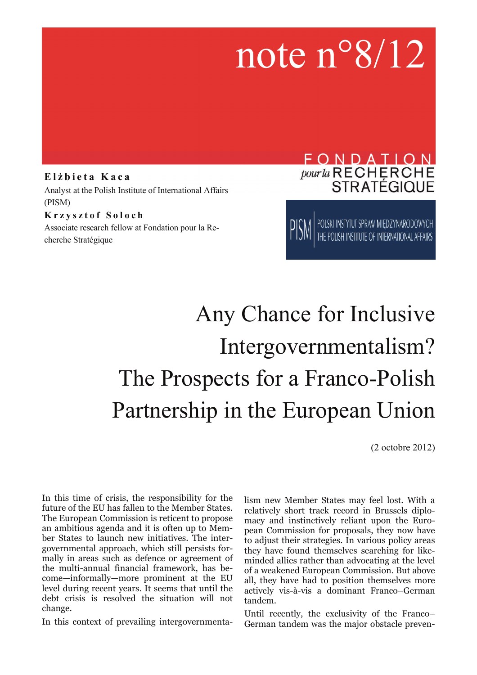# note n°8/12

#### **E l ż bieta Kaca**  Analyst at the Polish Institute of International Affairs (PISM) **Krzysztof Soloch**

Associate research fellow at Fondation pour la Recherche Stratégique

### FONDATION pour la RECHERCHE **STRATÉGIQUE**

POLSKI INSTYTUT SPRAW MIĘDZYNARODOWYCH<br>THE POLISH INSTITUTE OF INTERNATIONAL AFFAIRS

## Any Chance for Inclusive Intergovernmentalism? The Prospects for a Franco-Polish Partnership in the European Union

(2 octobre 2012)

In this time of crisis, the responsibility for the future of the EU has fallen to the Member States. The European Commission is reticent to propose an ambitious agenda and it is often up to Member States to launch new initiatives. The intergovernmental approach, which still persists formally in areas such as defence or agreement of the multi-annual financial framework, has become—informally—more prominent at the EU level during recent years. It seems that until the debt crisis is resolved the situation will not change.

In this context of prevailing intergovernmenta-

lism new Member States may feel lost. With a relatively short track record in Brussels diplomacy and instinctively reliant upon the European Commission for proposals, they now have to adjust their strategies. In various policy areas they have found themselves searching for likeminded allies rather than advocating at the level of a weakened European Commission. But above all, they have had to position themselves more actively vis-à-vis a dominant Franco–German tandem.

Until recently, the exclusivity of the Franco– German tandem was the major obstacle preven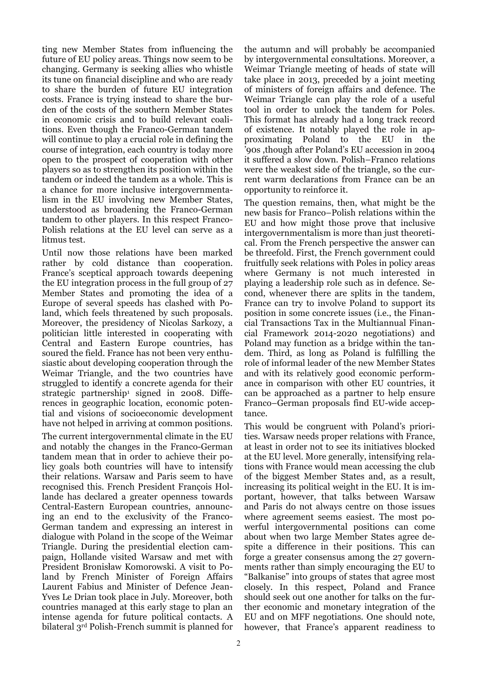ting new Member States from influencing the future of EU policy areas. Things now seem to be changing. Germany is seeking allies who whistle its tune on financial discipline and who are ready to share the burden of future EU integration costs. France is trying instead to share the burden of the costs of the southern Member States in economic crisis and to build relevant coalitions. Even though the Franco-German tandem will continue to play a crucial role in defining the course of integration, each country is today more open to the prospect of cooperation with other players so as to strengthen its position within the tandem or indeed the tandem as a whole. This is a chance for more inclusive intergovernmentalism in the EU involving new Member States, understood as broadening the Franco-German tandem to other players. In this respect Franco-Polish relations at the EU level can serve as a litmus test.

Until now those relations have been marked rather by cold distance than cooperation. France's sceptical approach towards deepening the EU integration process in the full group of 27 Member States and promoting the idea of a Europe of several speeds has clashed with Poland, which feels threatened by such proposals. Moreover, the presidency of Nicolas Sarkozy, a politician little interested in cooperating with Central and Eastern Europe countries, has soured the field. France has not been very enthusiastic about developing cooperation through the Weimar Triangle, and the two countries have struggled to identify a concrete agenda for their strategic partnership<sup>1</sup> signed in 2008. Differences in geographic location, economic potential and visions of socioeconomic development have not helped in arriving at common positions.

The current intergovernmental climate in the EU and notably the changes in the Franco-German tandem mean that in order to achieve their policy goals both countries will have to intensify their relations. Warsaw and Paris seem to have recognised this. French President François Hollande has declared a greater openness towards Central-Eastern European countries, announcing an end to the exclusivity of the Franco-German tandem and expressing an interest in dialogue with Poland in the scope of the Weimar Triangle. During the presidential election campaign, Hollande visited Warsaw and met with President Bronisław Komorowski. A visit to Poland by French Minister of Foreign Affairs Laurent Fabius and Minister of Defence Jean-Yves Le Drian took place in July. Moreover, both countries managed at this early stage to plan an intense agenda for future political contacts. A bilateral 3rd Polish-French summit is planned for

the autumn and will probably be accompanied by intergovernmental consultations. Moreover, a Weimar Triangle meeting of heads of state will take place in 2013, preceded by a joint meeting of ministers of foreign affairs and defence. The Weimar Triangle can play the role of a useful tool in order to unlock the tandem for Poles. This format has already had a long track record of existence. It notably played the role in approximating Poland to the EU in the '90s ,though after Poland's EU accession in 2004 it suffered a slow down. Polish–Franco relations were the weakest side of the triangle, so the current warm declarations from France can be an opportunity to reinforce it.

The question remains, then, what might be the new basis for Franco–Polish relations within the EU and how might those prove that inclusive intergovernmentalism is more than just theoretical. From the French perspective the answer can be threefold. First, the French government could fruitfully seek relations with Poles in policy areas where Germany is not much interested in playing a leadership role such as in defence. Second, whenever there are splits in the tandem, France can try to involve Poland to support its position in some concrete issues (i.e., the Financial Transactions Tax in the Multiannual Financial Framework 2014-2020 negotiations) and Poland may function as a bridge within the tandem. Third, as long as Poland is fulfilling the role of informal leader of the new Member States and with its relatively good economic performance in comparison with other EU countries, it can be approached as a partner to help ensure Franco–German proposals find EU-wide acceptance.

This would be congruent with Poland's priorities. Warsaw needs proper relations with France, at least in order not to see its initiatives blocked at the EU level. More generally, intensifying relations with France would mean accessing the club of the biggest Member States and, as a result, increasing its political weight in the EU. It is important, however, that talks between Warsaw and Paris do not always centre on those issues where agreement seems easiest. The most powerful intergovernmental positions can come about when two large Member States agree despite a difference in their positions. This can forge a greater consensus among the 27 governments rather than simply encouraging the EU to "Balkanise" into groups of states that agree most closely. In this respect, Poland and France should seek out one another for talks on the further economic and monetary integration of the EU and on MFF negotiations. One should note, however, that France's apparent readiness to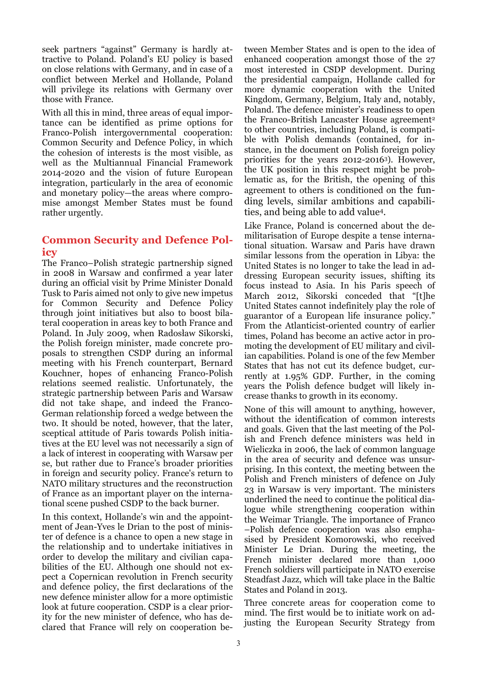seek partners "against" Germany is hardly attractive to Poland. Poland's EU policy is based on close relations with Germany, and in case of a conflict between Merkel and Hollande, Poland will privilege its relations with Germany over those with France.

With all this in mind, three areas of equal importance can be identified as prime options for Franco-Polish intergovernmental cooperation: Common Security and Defence Policy, in which the cohesion of interests is the most visible, as well as the Multiannual Financial Framework 2014-2020 and the vision of future European integration, particularly in the area of economic and monetary policy—the areas where compromise amongst Member States must be found rather urgently.

#### **Common Security and Defence Policy**

The Franco–Polish strategic partnership signed in 2008 in Warsaw and confirmed a year later during an official visit by Prime Minister Donald Tusk to Paris aimed not only to give new impetus for Common Security and Defence Policy through joint initiatives but also to boost bilateral cooperation in areas key to both France and Poland. In July 2009, when Radosław Sikorski, the Polish foreign minister, made concrete proposals to strengthen CSDP during an informal meeting with his French counterpart, Bernard Kouchner, hopes of enhancing Franco-Polish relations seemed realistic. Unfortunately, the strategic partnership between Paris and Warsaw did not take shape, and indeed the Franco-German relationship forced a wedge between the two. It should be noted, however, that the later, sceptical attitude of Paris towards Polish initiatives at the EU level was not necessarily a sign of a lack of interest in cooperating with Warsaw per se, but rather due to France's broader priorities in foreign and security policy. France's return to NATO military structures and the reconstruction of France as an important player on the international scene pushed CSDP to the back burner.

In this context, Hollande's win and the appointment of Jean-Yves le Drian to the post of minister of defence is a chance to open a new stage in the relationship and to undertake initiatives in order to develop the military and civilian capabilities of the EU. Although one should not expect a Copernican revolution in French security and defence policy, the first declarations of the new defence minister allow for a more optimistic look at future cooperation. CSDP is a clear priority for the new minister of defence, who has declared that France will rely on cooperation between Member States and is open to the idea of enhanced cooperation amongst those of the 27 most interested in CSDP development. During the presidential campaign, Hollande called for more dynamic cooperation with the United Kingdom, Germany, Belgium, Italy and, notably, Poland. The defence minister's readiness to open the Franco-British Lancaster House agreement<sup>2</sup> to other countries, including Poland, is compatible with Polish demands (contained, for instance, in the document on Polish foreign policy priorities for the years 2012-20163). However, the UK position in this respect might be problematic as, for the British, the opening of this agreement to others is conditioned on the funding levels, similar ambitions and capabilities, and being able to add value4.

Like France, Poland is concerned about the demilitarisation of Europe despite a tense international situation. Warsaw and Paris have drawn similar lessons from the operation in Libya: the United States is no longer to take the lead in addressing European security issues, shifting its focus instead to Asia. In his Paris speech of March 2012, Sikorski conceded that "[t]he United States cannot indefinitely play the role of guarantor of a European life insurance policy." From the Atlanticist-oriented country of earlier times, Poland has become an active actor in promoting the development of EU military and civilian capabilities. Poland is one of the few Member States that has not cut its defence budget, currently at 1.95% GDP. Further, in the coming years the Polish defence budget will likely increase thanks to growth in its economy.

None of this will amount to anything, however, without the identification of common interests and goals. Given that the last meeting of the Polish and French defence ministers was held in Wieliczka in 2006, the lack of common language in the area of security and defence was unsurprising. In this context, the meeting between the Polish and French ministers of defence on July 23 in Warsaw is very important. The ministers underlined the need to continue the political dialogue while strengthening cooperation within the Weimar Triangle. The importance of Franco –Polish defence cooperation was also emphasised by President Komorowski, who received Minister Le Drian. During the meeting, the French minister declared more than 1,000 French soldiers will participate in NATO exercise Steadfast Jazz, which will take place in the Baltic States and Poland in 2013.

Three concrete areas for cooperation come to mind. The first would be to initiate work on adjusting the European Security Strategy from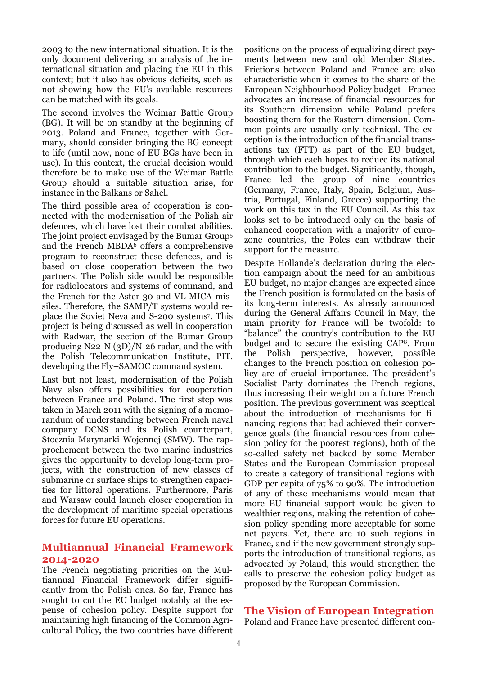2003 to the new international situation. It is the only document delivering an analysis of the international situation and placing the EU in this context; but it also has obvious deficits, such as not showing how the EU's available resources can be matched with its goals.

The second involves the Weimar Battle Group (BG). It will be on standby at the beginning of 2013. Poland and France, together with Germany, should consider bringing the BG concept to life (until now, none of EU BGs have been in use). In this context, the crucial decision would therefore be to make use of the Weimar Battle Group should a suitable situation arise, for instance in the Balkans or Sahel.

The third possible area of cooperation is connected with the modernisation of the Polish air defences, which have lost their combat abilities. The joint project envisaged by the Bumar Group5 and the French MBDA6 offers a comprehensive program to reconstruct these defences, and is based on close cooperation between the two partners. The Polish side would be responsible for radiolocators and systems of command, and the French for the Aster 30 and VL MICA missiles. Therefore, the SAMP/T systems would replace the Soviet Neva and S-200 systems7. This project is being discussed as well in cooperation with Radwar, the section of the Bumar Group producing N22-N (3D)/N-26 radar, and the with the Polish Telecommunication Institute, PIT, developing the Fly–SAMOC command system.

Last but not least, modernisation of the Polish Navy also offers possibilities for cooperation between France and Poland. The first step was taken in March 2011 with the signing of a memorandum of understanding between French naval company DCNS and its Polish counterpart, Stocznia Marynarki Wojennej (SMW). The rapprochement between the two marine industries gives the opportunity to develop long-term projects, with the construction of new classes of submarine or surface ships to strengthen capacities for littoral operations. Furthermore, Paris and Warsaw could launch closer cooperation in the development of maritime special operations forces for future EU operations.

#### **Multiannual Financial Framework 2014-2020**

The French negotiating priorities on the Multiannual Financial Framework differ significantly from the Polish ones. So far, France has sought to cut the EU budget notably at the expense of cohesion policy. Despite support for maintaining high financing of the Common Agricultural Policy, the two countries have different

positions on the process of equalizing direct payments between new and old Member States. Frictions between Poland and France are also characteristic when it comes to the share of the European Neighbourhood Policy budget—France advocates an increase of financial resources for its Southern dimension while Poland prefers boosting them for the Eastern dimension. Common points are usually only technical. The exception is the introduction of the financial transactions tax (FTT) as part of the EU budget, through which each hopes to reduce its national contribution to the budget. Significantly, though, France led the group of nine countries (Germany, France, Italy, Spain, Belgium, Austria, Portugal, Finland, Greece) supporting the work on this tax in the EU Council. As this tax looks set to be introduced only on the basis of enhanced cooperation with a majority of eurozone countries, the Poles can withdraw their support for the measure.

Despite Hollande's declaration during the election campaign about the need for an ambitious EU budget, no major changes are expected since the French position is formulated on the basis of its long-term interests. As already announced during the General Affairs Council in May, the main priority for France will be twofold: to "balance" the country's contribution to the EU budget and to secure the existing CAP8. From the Polish perspective, however, possible changes to the French position on cohesion policy are of crucial importance. The president's Socialist Party dominates the French regions, thus increasing their weight on a future French position. The previous government was sceptical about the introduction of mechanisms for financing regions that had achieved their convergence goals (the financial resources from cohesion policy for the poorest regions), both of the so-called safety net backed by some Member States and the European Commission proposal to create a category of transitional regions with GDP per capita of 75% to 90%. The introduction of any of these mechanisms would mean that more EU financial support would be given to wealthier regions, making the retention of cohesion policy spending more acceptable for some net payers. Yet, there are 10 such regions in France, and if the new government strongly supports the introduction of transitional regions, as advocated by Poland, this would strengthen the calls to preserve the cohesion policy budget as proposed by the European Commission.

#### **The Vision of European Integration**

Poland and France have presented different con-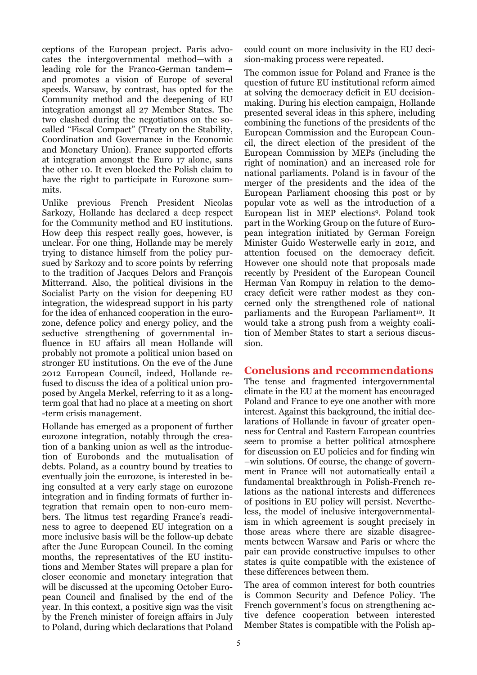ceptions of the European project. Paris advocates the intergovernmental method—with a leading role for the Franco-German tandem and promotes a vision of Europe of several speeds. Warsaw, by contrast, has opted for the Community method and the deepening of EU integration amongst all 27 Member States. The two clashed during the negotiations on the socalled "Fiscal Compact" (Treaty on the Stability, Coordination and Governance in the Economic and Monetary Union). France supported efforts at integration amongst the Euro 17 alone, sans the other 10. It even blocked the Polish claim to have the right to participate in Eurozone summits.

Unlike previous French President Nicolas Sarkozy, Hollande has declared a deep respect for the Community method and EU institutions. How deep this respect really goes, however, is unclear. For one thing, Hollande may be merely trying to distance himself from the policy pursued by Sarkozy and to score points by referring to the tradition of Jacques Delors and François Mitterrand. Also, the political divisions in the Socialist Party on the vision for deepening EU integration, the widespread support in his party for the idea of enhanced cooperation in the eurozone, defence policy and energy policy, and the seductive strengthening of governmental influence in EU affairs all mean Hollande will probably not promote a political union based on stronger EU institutions. On the eve of the June 2012 European Council, indeed, Hollande refused to discuss the idea of a political union proposed by Angela Merkel, referring to it as a longterm goal that had no place at a meeting on short -term crisis management.

Hollande has emerged as a proponent of further eurozone integration, notably through the creation of a banking union as well as the introduction of Eurobonds and the mutualisation of debts. Poland, as a country bound by treaties to eventually join the eurozone, is interested in being consulted at a very early stage on eurozone integration and in finding formats of further integration that remain open to non-euro members. The litmus test regarding France's readiness to agree to deepened EU integration on a more inclusive basis will be the follow-up debate after the June European Council. In the coming months, the representatives of the EU institutions and Member States will prepare a plan for closer economic and monetary integration that will be discussed at the upcoming October European Council and finalised by the end of the year. In this context, a positive sign was the visit by the French minister of foreign affairs in July to Poland, during which declarations that Poland

could count on more inclusivity in the EU decision-making process were repeated.

The common issue for Poland and France is the question of future EU institutional reform aimed at solving the democracy deficit in EU decisionmaking. During his election campaign, Hollande presented several ideas in this sphere, including combining the functions of the presidents of the European Commission and the European Council, the direct election of the president of the European Commission by MEPs (including the right of nomination) and an increased role for national parliaments. Poland is in favour of the merger of the presidents and the idea of the European Parliament choosing this post or by popular vote as well as the introduction of a European list in MEP elections9. Poland took part in the Working Group on the future of European integration initiated by German Foreign Minister Guido Westerwelle early in 2012, and attention focused on the democracy deficit. However one should note that proposals made recently by President of the European Council Herman Van Rompuy in relation to the democracy deficit were rather modest as they concerned only the strengthened role of national parliaments and the European Parliament<sup>10</sup>. It would take a strong push from a weighty coalition of Member States to start a serious discussion.

#### **Conclusions and recommendations**

The tense and fragmented intergovernmental climate in the EU at the moment has encouraged Poland and France to eye one another with more interest. Against this background, the initial declarations of Hollande in favour of greater openness for Central and Eastern European countries seem to promise a better political atmosphere for discussion on EU policies and for finding win –win solutions. Of course, the change of government in France will not automatically entail a fundamental breakthrough in Polish-French relations as the national interests and differences of positions in EU policy will persist. Nevertheless, the model of inclusive intergovernmentalism in which agreement is sought precisely in those areas where there are sizable disagreements between Warsaw and Paris or where the pair can provide constructive impulses to other states is quite compatible with the existence of these differences between them.

The area of common interest for both countries is Common Security and Defence Policy. The French government's focus on strengthening active defence cooperation between interested Member States is compatible with the Polish ap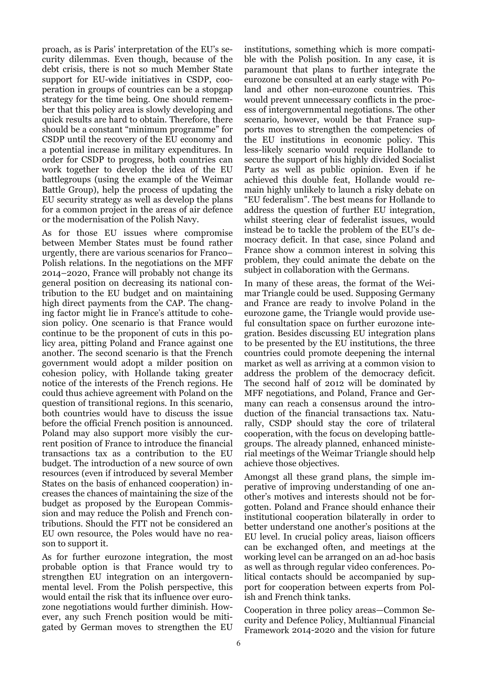proach, as is Paris' interpretation of the EU's security dilemmas. Even though, because of the debt crisis, there is not so much Member State support for EU-wide initiatives in CSDP, cooperation in groups of countries can be a stopgap strategy for the time being. One should remember that this policy area is slowly developing and quick results are hard to obtain. Therefore, there should be a constant "minimum programme" for CSDP until the recovery of the EU economy and a potential increase in military expenditures. In order for CSDP to progress, both countries can work together to develop the idea of the EU battlegroups (using the example of the Weimar Battle Group), help the process of updating the EU security strategy as well as develop the plans for a common project in the areas of air defence or the modernisation of the Polish Navy.

As for those EU issues where compromise between Member States must be found rather urgently, there are various scenarios for Franco– Polish relations. In the negotiations on the MFF 2014–2020, France will probably not change its general position on decreasing its national contribution to the EU budget and on maintaining high direct payments from the CAP. The changing factor might lie in France's attitude to cohesion policy. One scenario is that France would continue to be the proponent of cuts in this policy area, pitting Poland and France against one another. The second scenario is that the French government would adopt a milder position on cohesion policy, with Hollande taking greater notice of the interests of the French regions. He could thus achieve agreement with Poland on the question of transitional regions. In this scenario, both countries would have to discuss the issue before the official French position is announced. Poland may also support more visibly the current position of France to introduce the financial transactions tax as a contribution to the EU budget. The introduction of a new source of own resources (even if introduced by several Member States on the basis of enhanced cooperation) increases the chances of maintaining the size of the budget as proposed by the European Commission and may reduce the Polish and French contributions. Should the FTT not be considered an EU own resource, the Poles would have no reason to support it.

As for further eurozone integration, the most probable option is that France would try to strengthen EU integration on an intergovernmental level. From the Polish perspective, this would entail the risk that its influence over eurozone negotiations would further diminish. However, any such French position would be mitigated by German moves to strengthen the EU institutions, something which is more compatible with the Polish position. In any case, it is paramount that plans to further integrate the eurozone be consulted at an early stage with Poland and other non-eurozone countries. This would prevent unnecessary conflicts in the process of intergovernmental negotiations. The other scenario, however, would be that France supports moves to strengthen the competencies of the EU institutions in economic policy. This less-likely scenario would require Hollande to secure the support of his highly divided Socialist Party as well as public opinion. Even if he achieved this double feat, Hollande would remain highly unlikely to launch a risky debate on "EU federalism". The best means for Hollande to address the question of further EU integration, whilst steering clear of federalist issues, would instead be to tackle the problem of the EU's democracy deficit. In that case, since Poland and France show a common interest in solving this problem, they could animate the debate on the subject in collaboration with the Germans.

In many of these areas, the format of the Weimar Triangle could be used. Supposing Germany and France are ready to involve Poland in the eurozone game, the Triangle would provide useful consultation space on further eurozone integration. Besides discussing EU integration plans to be presented by the EU institutions, the three countries could promote deepening the internal market as well as arriving at a common vision to address the problem of the democracy deficit. The second half of 2012 will be dominated by MFF negotiations, and Poland, France and Germany can reach a consensus around the introduction of the financial transactions tax. Naturally, CSDP should stay the core of trilateral cooperation, with the focus on developing battlegroups. The already planned, enhanced ministerial meetings of the Weimar Triangle should help achieve those objectives.

Amongst all these grand plans, the simple imperative of improving understanding of one another's motives and interests should not be forgotten. Poland and France should enhance their institutional cooperation bilaterally in order to better understand one another's positions at the EU level. In crucial policy areas, liaison officers can be exchanged often, and meetings at the working level can be arranged on an ad-hoc basis as well as through regular video conferences. Political contacts should be accompanied by support for cooperation between experts from Polish and French think tanks.

Cooperation in three policy areas—Common Security and Defence Policy, Multiannual Financial Framework 2014-2020 and the vision for future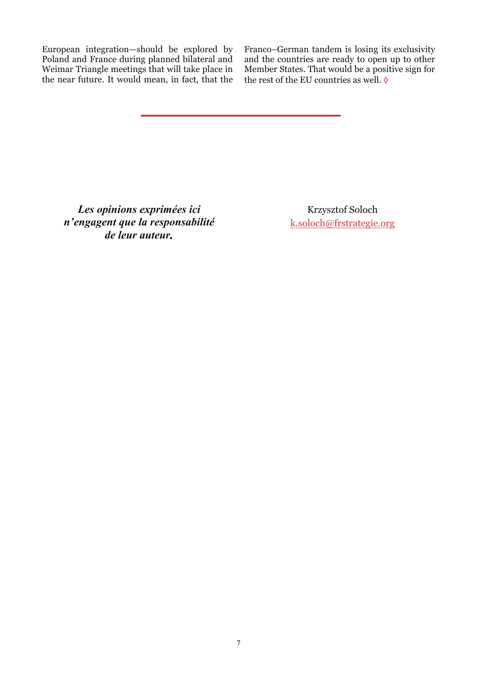European integration—should be explored by Poland and France during planned bilateral and Weimar Triangle meetings that will take place in the near future. It would mean, in fact, that the Franco–German tandem is losing its exclusivity and the countries are ready to open up to other Member States. That would be a positive sign for the rest of the EU countries as well.  $\lozenge$ 

*Les opinions exprimées ici n'engagent que la responsabilité de leur auteur.* 

Krzysztof Soloch k[.soloch@frstrategie.org](mailto:k.soloch@frstrategie.org?subject=Concernant%20la%20note%20n�08/12)